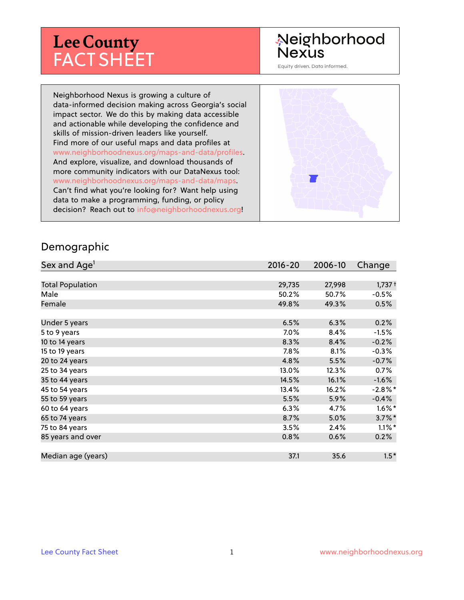# **Lee County** FACT SHEET

## Neighborhood **Nexus**

Equity driven. Data informed.

Neighborhood Nexus is growing a culture of data-informed decision making across Georgia's social impact sector. We do this by making data accessible and actionable while developing the confidence and skills of mission-driven leaders like yourself. Find more of our useful maps and data profiles at www.neighborhoodnexus.org/maps-and-data/profiles. And explore, visualize, and download thousands of more community indicators with our DataNexus tool: www.neighborhoodnexus.org/maps-and-data/maps. Can't find what you're looking for? Want help using data to make a programming, funding, or policy decision? Reach out to [info@neighborhoodnexus.org!](mailto:info@neighborhoodnexus.org)



#### Demographic

| Sex and Age <sup>1</sup> | $2016 - 20$ | 2006-10 | Change               |
|--------------------------|-------------|---------|----------------------|
|                          |             |         |                      |
| <b>Total Population</b>  | 29,735      | 27,998  | $1,737+$             |
| Male                     | 50.2%       | 50.7%   | $-0.5\%$             |
| Female                   | 49.8%       | 49.3%   | 0.5%                 |
|                          |             |         |                      |
| Under 5 years            | 6.5%        | 6.3%    | 0.2%                 |
| 5 to 9 years             | 7.0%        | 8.4%    | $-1.5%$              |
| 10 to 14 years           | 8.3%        | 8.4%    | $-0.2%$              |
| 15 to 19 years           | 7.8%        | 8.1%    | $-0.3%$              |
| 20 to 24 years           | 4.8%        | 5.5%    | $-0.7%$              |
| 25 to 34 years           | 13.0%       | 12.3%   | 0.7%                 |
| 35 to 44 years           | 14.5%       | 16.1%   | $-1.6%$              |
| 45 to 54 years           | 13.4%       | 16.2%   | $-2.8\%$ *           |
| 55 to 59 years           | 5.5%        | 5.9%    | $-0.4%$              |
| 60 to 64 years           | 6.3%        | 4.7%    | $1.6\%$ *            |
| 65 to 74 years           | 8.7%        | $5.0\%$ | $3.7\%$ *            |
| 75 to 84 years           | 3.5%        | 2.4%    | $1.1\%$ <sup>*</sup> |
| 85 years and over        | 0.8%        | 0.6%    | 0.2%                 |
|                          |             |         |                      |
| Median age (years)       | 37.1        | 35.6    | $1.5*$               |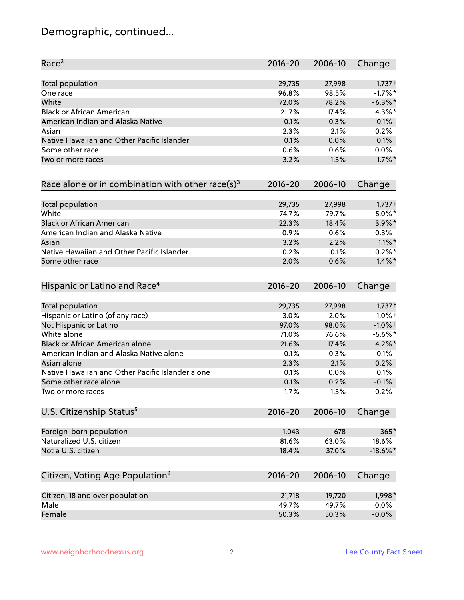# Demographic, continued...

| Race <sup>2</sup>                                            | $2016 - 20$ | 2006-10 | Change      |
|--------------------------------------------------------------|-------------|---------|-------------|
| <b>Total population</b>                                      | 29,735      | 27,998  | $1,737+$    |
| One race                                                     | 96.8%       | 98.5%   | $-1.7%$ *   |
| White                                                        | 72.0%       | 78.2%   | $-6.3\%$ *  |
| <b>Black or African American</b>                             | 21.7%       | 17.4%   | 4.3%*       |
| American Indian and Alaska Native                            | 0.1%        | 0.3%    | $-0.1%$     |
| Asian                                                        | 2.3%        | 2.1%    | 0.2%        |
| Native Hawaiian and Other Pacific Islander                   | 0.1%        | 0.0%    | 0.1%        |
| Some other race                                              | 0.6%        | 0.6%    | 0.0%        |
| Two or more races                                            | 3.2%        | 1.5%    | $1.7\%$ *   |
| Race alone or in combination with other race(s) <sup>3</sup> | $2016 - 20$ | 2006-10 | Change      |
| Total population                                             | 29,735      | 27,998  | $1,737+$    |
| White                                                        | 74.7%       | 79.7%   | $-5.0\%$ *  |
| <b>Black or African American</b>                             | 22.3%       | 18.4%   | 3.9%*       |
| American Indian and Alaska Native                            | 0.9%        | 0.6%    | 0.3%        |
| Asian                                                        | 3.2%        | 2.2%    | $1.1\%$ *   |
| Native Hawaiian and Other Pacific Islander                   | 0.2%        | 0.1%    | $0.2%$ *    |
| Some other race                                              | 2.0%        | 0.6%    | $1.4\%$ *   |
| Hispanic or Latino and Race <sup>4</sup>                     | $2016 - 20$ | 2006-10 | Change      |
| Total population                                             | 29,735      | 27,998  | $1,737+$    |
| Hispanic or Latino (of any race)                             | 3.0%        | 2.0%    | $1.0\%$ †   |
| Not Hispanic or Latino                                       | 97.0%       | 98.0%   | $-1.0%$ +   |
| White alone                                                  | 71.0%       | 76.6%   | $-5.6\%$ *  |
| Black or African American alone                              | 21.6%       | 17.4%   | $4.2\%$ *   |
| American Indian and Alaska Native alone                      | 0.1%        | 0.3%    | $-0.1%$     |
| Asian alone                                                  | 2.3%        | 2.1%    | 0.2%        |
| Native Hawaiian and Other Pacific Islander alone             | 0.1%        | 0.0%    | 0.1%        |
| Some other race alone                                        | 0.1%        | 0.2%    | $-0.1%$     |
| Two or more races                                            | 1.7%        | 1.5%    | 0.2%        |
| U.S. Citizenship Status <sup>5</sup>                         | $2016 - 20$ | 2006-10 | Change      |
| Foreign-born population                                      | 1,043       | 678     | $365*$      |
| Naturalized U.S. citizen                                     | 81.6%       | 63.0%   | 18.6%       |
| Not a U.S. citizen                                           | 18.4%       | 37.0%   | $-18.6\%$ * |
| Citizen, Voting Age Population <sup>6</sup>                  | $2016 - 20$ | 2006-10 | Change      |
|                                                              |             |         |             |
| Citizen, 18 and over population                              | 21,718      | 19,720  | 1,998*      |
| Male                                                         | 49.7%       | 49.7%   | 0.0%        |
| Female                                                       | 50.3%       | 50.3%   | $-0.0%$     |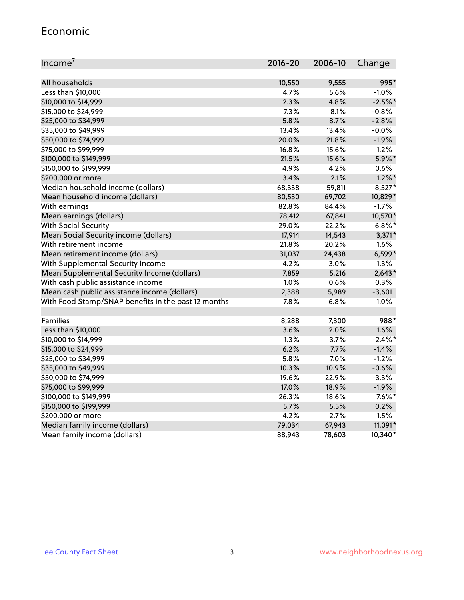#### Economic

| Income <sup>7</sup>                                 | 2016-20 | 2006-10 | Change     |
|-----------------------------------------------------|---------|---------|------------|
|                                                     |         |         |            |
| All households                                      | 10,550  | 9,555   | 995*       |
| Less than \$10,000                                  | 4.7%    | 5.6%    | $-1.0%$    |
| \$10,000 to \$14,999                                | 2.3%    | 4.8%    | $-2.5%$ *  |
| \$15,000 to \$24,999                                | 7.3%    | 8.1%    | $-0.8%$    |
| \$25,000 to \$34,999                                | 5.8%    | 8.7%    | $-2.8%$    |
| \$35,000 to \$49,999                                | 13.4%   | 13.4%   | $-0.0%$    |
| \$50,000 to \$74,999                                | 20.0%   | 21.8%   | $-1.9%$    |
| \$75,000 to \$99,999                                | 16.8%   | 15.6%   | 1.2%       |
| \$100,000 to \$149,999                              | 21.5%   | 15.6%   | 5.9%*      |
| \$150,000 to \$199,999                              | 4.9%    | 4.2%    | 0.6%       |
| \$200,000 or more                                   | 3.4%    | 2.1%    | $1.2\%$ *  |
| Median household income (dollars)                   | 68,338  | 59,811  | 8,527*     |
| Mean household income (dollars)                     | 80,530  | 69,702  | 10,829*    |
| With earnings                                       | 82.8%   | 84.4%   | $-1.7%$    |
| Mean earnings (dollars)                             | 78,412  | 67,841  | 10,570*    |
| <b>With Social Security</b>                         | 29.0%   | 22.2%   | $6.8\%$ *  |
| Mean Social Security income (dollars)               | 17,914  | 14,543  | $3,371*$   |
| With retirement income                              | 21.8%   | 20.2%   | 1.6%       |
| Mean retirement income (dollars)                    | 31,037  | 24,438  | 6,599*     |
| With Supplemental Security Income                   | 4.2%    | 3.0%    | 1.3%       |
| Mean Supplemental Security Income (dollars)         | 7,859   | 5,216   | $2,643*$   |
| With cash public assistance income                  | 1.0%    | 0.6%    | 0.3%       |
| Mean cash public assistance income (dollars)        | 2,388   | 5,989   | $-3,601$   |
| With Food Stamp/SNAP benefits in the past 12 months | 7.8%    | 6.8%    | 1.0%       |
| Families                                            | 8,288   | 7,300   | 988*       |
| Less than \$10,000                                  | 3.6%    | 2.0%    | 1.6%       |
| \$10,000 to \$14,999                                | 1.3%    | 3.7%    | $-2.4\%$ * |
| \$15,000 to \$24,999                                | 6.2%    | 7.7%    | $-1.4%$    |
| \$25,000 to \$34,999                                | 5.8%    | 7.0%    | $-1.2%$    |
| \$35,000 to \$49,999                                | 10.3%   | 10.9%   | $-0.6%$    |
| \$50,000 to \$74,999                                | 19.6%   | 22.9%   | $-3.3%$    |
| \$75,000 to \$99,999                                | 17.0%   | 18.9%   | $-1.9%$    |
| \$100,000 to \$149,999                              | 26.3%   | 18.6%   | $7.6\%$ *  |
| \$150,000 to \$199,999                              | 5.7%    | 5.5%    | 0.2%       |
| \$200,000 or more                                   | 4.2%    | 2.7%    | 1.5%       |
| Median family income (dollars)                      | 79,034  | 67,943  | 11,091*    |
| Mean family income (dollars)                        | 88,943  | 78,603  | 10,340*    |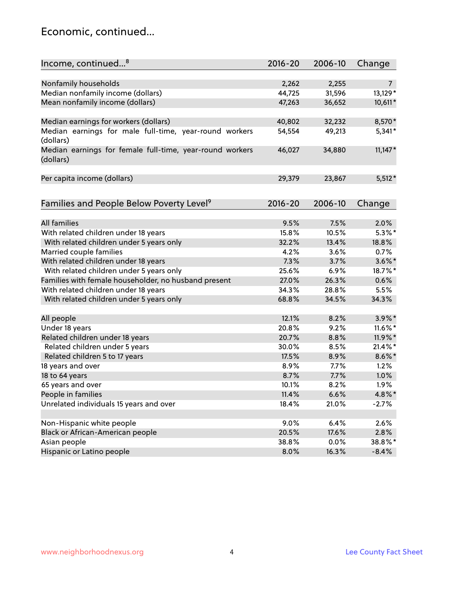### Economic, continued...

| Income, continued <sup>8</sup>                                        | $2016 - 20$ | 2006-10 | Change         |
|-----------------------------------------------------------------------|-------------|---------|----------------|
|                                                                       |             |         |                |
| Nonfamily households                                                  | 2,262       | 2,255   | $\overline{7}$ |
| Median nonfamily income (dollars)                                     | 44,725      | 31,596  | 13,129*        |
| Mean nonfamily income (dollars)                                       | 47,263      | 36,652  | 10,611*        |
| Median earnings for workers (dollars)                                 | 40,802      | 32,232  | 8,570*         |
| Median earnings for male full-time, year-round workers<br>(dollars)   | 54,554      | 49,213  | $5,341*$       |
| Median earnings for female full-time, year-round workers<br>(dollars) | 46,027      | 34,880  | $11,147*$      |
| Per capita income (dollars)                                           | 29,379      | 23,867  | $5,512*$       |
| Families and People Below Poverty Level <sup>9</sup>                  | $2016 - 20$ | 2006-10 | Change         |
|                                                                       |             |         |                |
| <b>All families</b>                                                   | 9.5%        | 7.5%    | 2.0%           |
| With related children under 18 years                                  | 15.8%       | 10.5%   | $5.3\%$ *      |
| With related children under 5 years only                              | 32.2%       | 13.4%   | 18.8%          |
| Married couple families                                               | 4.2%        | 3.6%    | 0.7%           |
| With related children under 18 years                                  | 7.3%        | 3.7%    | $3.6\%$ *      |
| With related children under 5 years only                              | 25.6%       | 6.9%    | 18.7%*         |
| Families with female householder, no husband present                  | 27.0%       | 26.3%   | 0.6%           |
| With related children under 18 years                                  | 34.3%       | 28.8%   | 5.5%           |
| With related children under 5 years only                              | 68.8%       | 34.5%   | 34.3%          |
| All people                                                            | 12.1%       | 8.2%    | $3.9\%$ *      |
| Under 18 years                                                        | 20.8%       | 9.2%    | 11.6%*         |
| Related children under 18 years                                       | 20.7%       | 8.8%    | 11.9%*         |
| Related children under 5 years                                        | 30.0%       | 8.5%    | 21.4%*         |
| Related children 5 to 17 years                                        | 17.5%       | 8.9%    | $8.6\%$ *      |
| 18 years and over                                                     | 8.9%        | 7.7%    | 1.2%           |
| 18 to 64 years                                                        | 8.7%        | 7.7%    | 1.0%           |
| 65 years and over                                                     | 10.1%       | 8.2%    | 1.9%           |
| People in families                                                    | 11.4%       | 6.6%    | 4.8%*          |
| Unrelated individuals 15 years and over                               | 18.4%       | 21.0%   | $-2.7%$        |
|                                                                       |             |         |                |
| Non-Hispanic white people                                             | 9.0%        | 6.4%    | 2.6%           |
| Black or African-American people                                      | 20.5%       | 17.6%   | 2.8%           |
| Asian people                                                          | 38.8%       | 0.0%    | 38.8%*         |
| Hispanic or Latino people                                             | 8.0%        | 16.3%   | $-8.4%$        |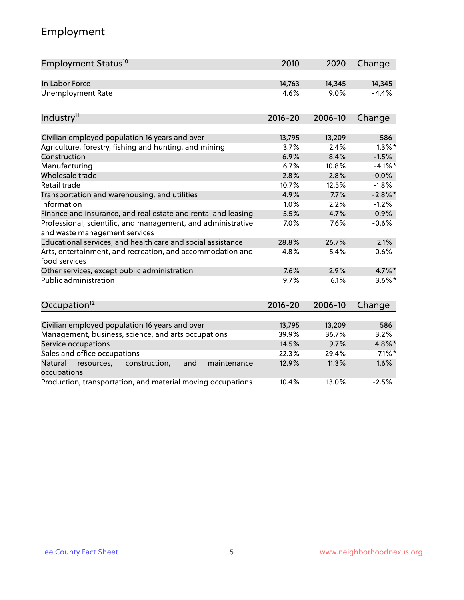# Employment

| Employment Status <sup>10</sup>                                                               | 2010        | 2020    | Change     |
|-----------------------------------------------------------------------------------------------|-------------|---------|------------|
| In Labor Force                                                                                | 14,763      | 14,345  | 14,345     |
| <b>Unemployment Rate</b>                                                                      | 4.6%        | 9.0%    | $-4.4%$    |
| Industry <sup>11</sup>                                                                        | $2016 - 20$ | 2006-10 | Change     |
|                                                                                               |             |         |            |
| Civilian employed population 16 years and over                                                | 13,795      | 13,209  | 586        |
| Agriculture, forestry, fishing and hunting, and mining                                        | 3.7%        | 2.4%    | $1.3\%$ *  |
| Construction                                                                                  | 6.9%        | 8.4%    | $-1.5%$    |
| Manufacturing                                                                                 | 6.7%        | 10.8%   | $-4.1\%$ * |
| Wholesale trade                                                                               | 2.8%        | 2.8%    | $-0.0%$    |
| Retail trade                                                                                  | 10.7%       | 12.5%   | $-1.8%$    |
| Transportation and warehousing, and utilities                                                 | 4.9%        | 7.7%    | $-2.8\%$ * |
| Information                                                                                   | 1.0%        | 2.2%    | $-1.2%$    |
| Finance and insurance, and real estate and rental and leasing                                 | 5.5%        | 4.7%    | 0.9%       |
| Professional, scientific, and management, and administrative<br>and waste management services | 7.0%        | 7.6%    | $-0.6%$    |
| Educational services, and health care and social assistance                                   | 28.8%       | 26.7%   | 2.1%       |
| Arts, entertainment, and recreation, and accommodation and<br>food services                   | 4.8%        | 5.4%    | $-0.6%$    |
| Other services, except public administration                                                  | 7.6%        | 2.9%    | 4.7%*      |
| Public administration                                                                         | 9.7%        | 6.1%    | $3.6\%$ *  |
| Occupation <sup>12</sup>                                                                      | $2016 - 20$ | 2006-10 | Change     |
|                                                                                               |             |         |            |
| Civilian employed population 16 years and over                                                | 13,795      | 13,209  | 586        |
| Management, business, science, and arts occupations                                           | 39.9%       | 36.7%   | 3.2%       |
| Service occupations                                                                           | 14.5%       | 9.7%    | 4.8%*      |
| Sales and office occupations                                                                  | 22.3%       | 29.4%   | $-7.1\%$ * |
| Natural<br>construction,<br>and<br>maintenance<br>resources,<br>occupations                   | 12.9%       | 11.3%   | 1.6%       |
| Production, transportation, and material moving occupations                                   | 10.4%       | 13.0%   | $-2.5%$    |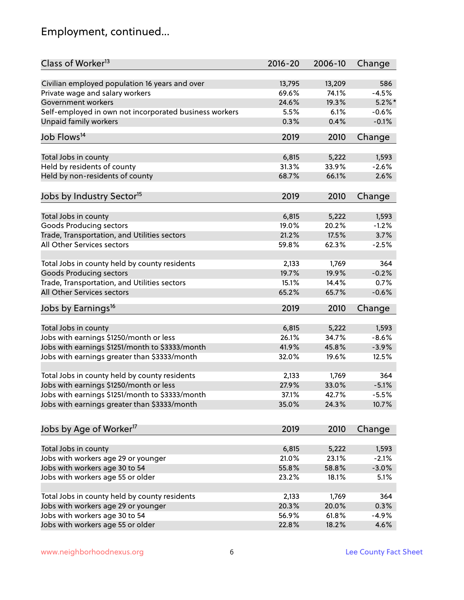# Employment, continued...

| Class of Worker <sup>13</sup>                          | $2016 - 20$ | 2006-10 | Change    |
|--------------------------------------------------------|-------------|---------|-----------|
| Civilian employed population 16 years and over         | 13,795      | 13,209  | 586       |
| Private wage and salary workers                        | 69.6%       | 74.1%   | $-4.5%$   |
| Government workers                                     | 24.6%       | 19.3%   | $5.2\%$ * |
| Self-employed in own not incorporated business workers | 5.5%        | 6.1%    | $-0.6%$   |
| <b>Unpaid family workers</b>                           | 0.3%        | 0.4%    | $-0.1%$   |
|                                                        |             |         |           |
| Job Flows <sup>14</sup>                                | 2019        | 2010    | Change    |
| Total Jobs in county                                   | 6,815       | 5,222   | 1,593     |
| Held by residents of county                            | 31.3%       | 33.9%   | $-2.6%$   |
| Held by non-residents of county                        | 68.7%       | 66.1%   | 2.6%      |
|                                                        |             |         |           |
| Jobs by Industry Sector <sup>15</sup>                  | 2019        | 2010    | Change    |
| Total Jobs in county                                   | 6,815       | 5,222   | 1,593     |
| Goods Producing sectors                                | 19.0%       | 20.2%   | $-1.2%$   |
| Trade, Transportation, and Utilities sectors           | 21.2%       | 17.5%   | 3.7%      |
| All Other Services sectors                             | 59.8%       | 62.3%   | $-2.5%$   |
|                                                        |             |         |           |
| Total Jobs in county held by county residents          | 2,133       | 1,769   | 364       |
| <b>Goods Producing sectors</b>                         | 19.7%       | 19.9%   | $-0.2%$   |
| Trade, Transportation, and Utilities sectors           | 15.1%       | 14.4%   | 0.7%      |
| All Other Services sectors                             | 65.2%       | 65.7%   | $-0.6%$   |
| Jobs by Earnings <sup>16</sup>                         | 2019        | 2010    | Change    |
|                                                        |             |         |           |
| Total Jobs in county                                   | 6,815       | 5,222   | 1,593     |
| Jobs with earnings \$1250/month or less                | 26.1%       | 34.7%   | $-8.6%$   |
| Jobs with earnings \$1251/month to \$3333/month        | 41.9%       | 45.8%   | $-3.9%$   |
| Jobs with earnings greater than \$3333/month           | 32.0%       | 19.6%   | 12.5%     |
| Total Jobs in county held by county residents          | 2,133       | 1,769   | 364       |
| Jobs with earnings \$1250/month or less                | 27.9%       | 33.0%   | $-5.1%$   |
| Jobs with earnings \$1251/month to \$3333/month        | 37.1%       | 42.7%   | $-5.5%$   |
| Jobs with earnings greater than \$3333/month           | 35.0%       | 24.3%   | 10.7%     |
|                                                        |             |         |           |
| Jobs by Age of Worker <sup>17</sup>                    | 2019        | 2010    | Change    |
| Total Jobs in county                                   | 6,815       | 5,222   | 1,593     |
| Jobs with workers age 29 or younger                    | 21.0%       | 23.1%   | $-2.1%$   |
| Jobs with workers age 30 to 54                         | 55.8%       | 58.8%   | $-3.0%$   |
| Jobs with workers age 55 or older                      | 23.2%       | 18.1%   | 5.1%      |
|                                                        |             |         |           |
| Total Jobs in county held by county residents          | 2,133       | 1,769   | 364       |
| Jobs with workers age 29 or younger                    | 20.3%       | 20.0%   | 0.3%      |
| Jobs with workers age 30 to 54                         | 56.9%       | 61.8%   | $-4.9%$   |
| Jobs with workers age 55 or older                      | 22.8%       | 18.2%   | 4.6%      |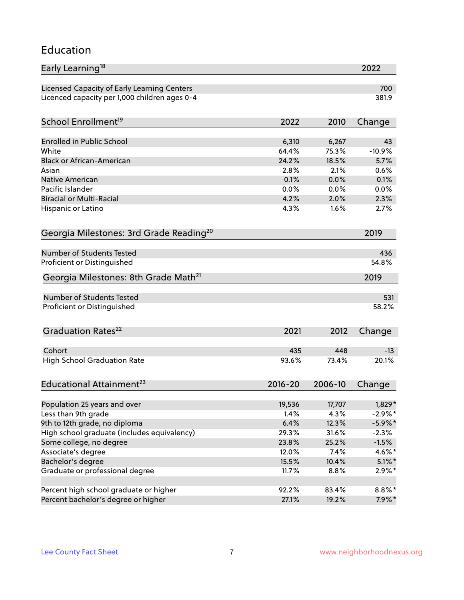#### Education

| Licensed Capacity of Early Learning Centers<br>700<br>381.9<br>2022<br>2010<br>Change<br><b>Enrolled in Public School</b><br>6,310<br>6,267<br>43<br>64.4%<br>75.3%<br>$-10.9%$<br>White<br><b>Black or African-American</b><br>24.2%<br>18.5%<br>5.7%<br>2.8%<br>2.1%<br>0.6%<br>Asian<br>0.1%<br>0.1%<br><b>Native American</b><br>0.0%<br>Pacific Islander<br>0.0%<br>0.0%<br>0.0%<br><b>Biracial or Multi-Racial</b><br>4.2%<br>2.0%<br>2.3%<br>1.6%<br>Hispanic or Latino<br>4.3%<br>2.7%<br>2019<br><b>Number of Students Tested</b><br>436<br>54.8%<br>Georgia Milestones: 8th Grade Math <sup>21</sup><br>2019<br>Number of Students Tested<br>531<br>Proficient or Distinguished<br>58.2%<br>Graduation Rates <sup>22</sup><br>2021<br>2012<br>Change<br>Cohort<br>435<br>448<br>$-13$<br><b>High School Graduation Rate</b><br>93.6%<br>73.4%<br>20.1%<br>Educational Attainment <sup>23</sup><br>$2016 - 20$<br>2006-10<br>Change<br>Population 25 years and over<br>19,536<br>17,707<br>$1,829*$<br>Less than 9th grade<br>4.3%<br>$-2.9\%$ *<br>1.4%<br>9th to 12th grade, no diploma<br>6.4%<br>12.3%<br>$-5.9\%$ *<br>High school graduate (includes equivalency)<br>31.6%<br>$-2.3%$<br>29.3%<br>Some college, no degree<br>23.8%<br>25.2%<br>$-1.5%$<br>Associate's degree<br>12.0%<br>7.4%<br>$4.6\%$ *<br>Bachelor's degree<br>15.5%<br>10.4%<br>$5.1\%$ *<br>$2.9\%*$<br>11.7%<br>8.8%<br>Percent high school graduate or higher<br>$8.8\%$ *<br>92.2%<br>83.4% | Early Learning <sup>18</sup>                        |       |       | 2022     |
|-------------------------------------------------------------------------------------------------------------------------------------------------------------------------------------------------------------------------------------------------------------------------------------------------------------------------------------------------------------------------------------------------------------------------------------------------------------------------------------------------------------------------------------------------------------------------------------------------------------------------------------------------------------------------------------------------------------------------------------------------------------------------------------------------------------------------------------------------------------------------------------------------------------------------------------------------------------------------------------------------------------------------------------------------------------------------------------------------------------------------------------------------------------------------------------------------------------------------------------------------------------------------------------------------------------------------------------------------------------------------------------------------------------------------------------------------------------------------------------|-----------------------------------------------------|-------|-------|----------|
|                                                                                                                                                                                                                                                                                                                                                                                                                                                                                                                                                                                                                                                                                                                                                                                                                                                                                                                                                                                                                                                                                                                                                                                                                                                                                                                                                                                                                                                                                     |                                                     |       |       |          |
|                                                                                                                                                                                                                                                                                                                                                                                                                                                                                                                                                                                                                                                                                                                                                                                                                                                                                                                                                                                                                                                                                                                                                                                                                                                                                                                                                                                                                                                                                     | Licenced capacity per 1,000 children ages 0-4       |       |       |          |
|                                                                                                                                                                                                                                                                                                                                                                                                                                                                                                                                                                                                                                                                                                                                                                                                                                                                                                                                                                                                                                                                                                                                                                                                                                                                                                                                                                                                                                                                                     | School Enrollment <sup>19</sup>                     |       |       |          |
|                                                                                                                                                                                                                                                                                                                                                                                                                                                                                                                                                                                                                                                                                                                                                                                                                                                                                                                                                                                                                                                                                                                                                                                                                                                                                                                                                                                                                                                                                     |                                                     |       |       |          |
|                                                                                                                                                                                                                                                                                                                                                                                                                                                                                                                                                                                                                                                                                                                                                                                                                                                                                                                                                                                                                                                                                                                                                                                                                                                                                                                                                                                                                                                                                     |                                                     |       |       |          |
|                                                                                                                                                                                                                                                                                                                                                                                                                                                                                                                                                                                                                                                                                                                                                                                                                                                                                                                                                                                                                                                                                                                                                                                                                                                                                                                                                                                                                                                                                     |                                                     |       |       |          |
|                                                                                                                                                                                                                                                                                                                                                                                                                                                                                                                                                                                                                                                                                                                                                                                                                                                                                                                                                                                                                                                                                                                                                                                                                                                                                                                                                                                                                                                                                     |                                                     |       |       |          |
|                                                                                                                                                                                                                                                                                                                                                                                                                                                                                                                                                                                                                                                                                                                                                                                                                                                                                                                                                                                                                                                                                                                                                                                                                                                                                                                                                                                                                                                                                     |                                                     |       |       |          |
|                                                                                                                                                                                                                                                                                                                                                                                                                                                                                                                                                                                                                                                                                                                                                                                                                                                                                                                                                                                                                                                                                                                                                                                                                                                                                                                                                                                                                                                                                     |                                                     |       |       |          |
|                                                                                                                                                                                                                                                                                                                                                                                                                                                                                                                                                                                                                                                                                                                                                                                                                                                                                                                                                                                                                                                                                                                                                                                                                                                                                                                                                                                                                                                                                     |                                                     |       |       |          |
|                                                                                                                                                                                                                                                                                                                                                                                                                                                                                                                                                                                                                                                                                                                                                                                                                                                                                                                                                                                                                                                                                                                                                                                                                                                                                                                                                                                                                                                                                     |                                                     |       |       |          |
|                                                                                                                                                                                                                                                                                                                                                                                                                                                                                                                                                                                                                                                                                                                                                                                                                                                                                                                                                                                                                                                                                                                                                                                                                                                                                                                                                                                                                                                                                     |                                                     |       |       |          |
|                                                                                                                                                                                                                                                                                                                                                                                                                                                                                                                                                                                                                                                                                                                                                                                                                                                                                                                                                                                                                                                                                                                                                                                                                                                                                                                                                                                                                                                                                     | Georgia Milestones: 3rd Grade Reading <sup>20</sup> |       |       |          |
|                                                                                                                                                                                                                                                                                                                                                                                                                                                                                                                                                                                                                                                                                                                                                                                                                                                                                                                                                                                                                                                                                                                                                                                                                                                                                                                                                                                                                                                                                     |                                                     |       |       |          |
|                                                                                                                                                                                                                                                                                                                                                                                                                                                                                                                                                                                                                                                                                                                                                                                                                                                                                                                                                                                                                                                                                                                                                                                                                                                                                                                                                                                                                                                                                     | Proficient or Distinguished                         |       |       |          |
|                                                                                                                                                                                                                                                                                                                                                                                                                                                                                                                                                                                                                                                                                                                                                                                                                                                                                                                                                                                                                                                                                                                                                                                                                                                                                                                                                                                                                                                                                     |                                                     |       |       |          |
|                                                                                                                                                                                                                                                                                                                                                                                                                                                                                                                                                                                                                                                                                                                                                                                                                                                                                                                                                                                                                                                                                                                                                                                                                                                                                                                                                                                                                                                                                     |                                                     |       |       |          |
|                                                                                                                                                                                                                                                                                                                                                                                                                                                                                                                                                                                                                                                                                                                                                                                                                                                                                                                                                                                                                                                                                                                                                                                                                                                                                                                                                                                                                                                                                     |                                                     |       |       |          |
|                                                                                                                                                                                                                                                                                                                                                                                                                                                                                                                                                                                                                                                                                                                                                                                                                                                                                                                                                                                                                                                                                                                                                                                                                                                                                                                                                                                                                                                                                     |                                                     |       |       |          |
|                                                                                                                                                                                                                                                                                                                                                                                                                                                                                                                                                                                                                                                                                                                                                                                                                                                                                                                                                                                                                                                                                                                                                                                                                                                                                                                                                                                                                                                                                     |                                                     |       |       |          |
|                                                                                                                                                                                                                                                                                                                                                                                                                                                                                                                                                                                                                                                                                                                                                                                                                                                                                                                                                                                                                                                                                                                                                                                                                                                                                                                                                                                                                                                                                     |                                                     |       |       |          |
|                                                                                                                                                                                                                                                                                                                                                                                                                                                                                                                                                                                                                                                                                                                                                                                                                                                                                                                                                                                                                                                                                                                                                                                                                                                                                                                                                                                                                                                                                     |                                                     |       |       |          |
|                                                                                                                                                                                                                                                                                                                                                                                                                                                                                                                                                                                                                                                                                                                                                                                                                                                                                                                                                                                                                                                                                                                                                                                                                                                                                                                                                                                                                                                                                     |                                                     |       |       |          |
|                                                                                                                                                                                                                                                                                                                                                                                                                                                                                                                                                                                                                                                                                                                                                                                                                                                                                                                                                                                                                                                                                                                                                                                                                                                                                                                                                                                                                                                                                     |                                                     |       |       |          |
|                                                                                                                                                                                                                                                                                                                                                                                                                                                                                                                                                                                                                                                                                                                                                                                                                                                                                                                                                                                                                                                                                                                                                                                                                                                                                                                                                                                                                                                                                     |                                                     |       |       |          |
|                                                                                                                                                                                                                                                                                                                                                                                                                                                                                                                                                                                                                                                                                                                                                                                                                                                                                                                                                                                                                                                                                                                                                                                                                                                                                                                                                                                                                                                                                     |                                                     |       |       |          |
|                                                                                                                                                                                                                                                                                                                                                                                                                                                                                                                                                                                                                                                                                                                                                                                                                                                                                                                                                                                                                                                                                                                                                                                                                                                                                                                                                                                                                                                                                     |                                                     |       |       |          |
|                                                                                                                                                                                                                                                                                                                                                                                                                                                                                                                                                                                                                                                                                                                                                                                                                                                                                                                                                                                                                                                                                                                                                                                                                                                                                                                                                                                                                                                                                     |                                                     |       |       |          |
|                                                                                                                                                                                                                                                                                                                                                                                                                                                                                                                                                                                                                                                                                                                                                                                                                                                                                                                                                                                                                                                                                                                                                                                                                                                                                                                                                                                                                                                                                     |                                                     |       |       |          |
|                                                                                                                                                                                                                                                                                                                                                                                                                                                                                                                                                                                                                                                                                                                                                                                                                                                                                                                                                                                                                                                                                                                                                                                                                                                                                                                                                                                                                                                                                     |                                                     |       |       |          |
|                                                                                                                                                                                                                                                                                                                                                                                                                                                                                                                                                                                                                                                                                                                                                                                                                                                                                                                                                                                                                                                                                                                                                                                                                                                                                                                                                                                                                                                                                     |                                                     |       |       |          |
|                                                                                                                                                                                                                                                                                                                                                                                                                                                                                                                                                                                                                                                                                                                                                                                                                                                                                                                                                                                                                                                                                                                                                                                                                                                                                                                                                                                                                                                                                     | Graduate or professional degree                     |       |       |          |
|                                                                                                                                                                                                                                                                                                                                                                                                                                                                                                                                                                                                                                                                                                                                                                                                                                                                                                                                                                                                                                                                                                                                                                                                                                                                                                                                                                                                                                                                                     |                                                     |       |       |          |
|                                                                                                                                                                                                                                                                                                                                                                                                                                                                                                                                                                                                                                                                                                                                                                                                                                                                                                                                                                                                                                                                                                                                                                                                                                                                                                                                                                                                                                                                                     | Percent bachelor's degree or higher                 | 27.1% | 19.2% | $7.9\%*$ |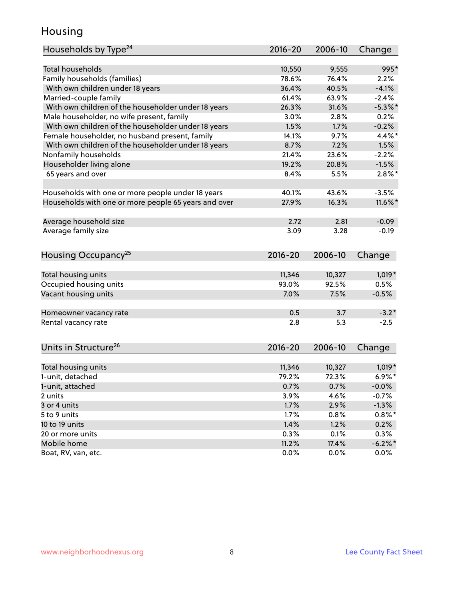### Housing

| Households by Type <sup>24</sup>                     | 2016-20     | 2006-10 | Change     |
|------------------------------------------------------|-------------|---------|------------|
|                                                      |             |         |            |
| <b>Total households</b>                              | 10,550      | 9,555   | 995*       |
| Family households (families)                         | 78.6%       | 76.4%   | 2.2%       |
| With own children under 18 years                     | 36.4%       | 40.5%   | $-4.1%$    |
| Married-couple family                                | 61.4%       | 63.9%   | $-2.4%$    |
| With own children of the householder under 18 years  | 26.3%       | 31.6%   | $-5.3\%$ * |
| Male householder, no wife present, family            | 3.0%        | 2.8%    | 0.2%       |
| With own children of the householder under 18 years  | 1.5%        | 1.7%    | $-0.2%$    |
| Female householder, no husband present, family       | 14.1%       | 9.7%    | $4.4\%$ *  |
| With own children of the householder under 18 years  | 8.7%        | 7.2%    | 1.5%       |
| Nonfamily households                                 | 21.4%       | 23.6%   | $-2.2%$    |
| Householder living alone                             | 19.2%       | 20.8%   | $-1.5%$    |
| 65 years and over                                    | 8.4%        | 5.5%    | $2.8\%$ *  |
|                                                      |             |         |            |
| Households with one or more people under 18 years    | 40.1%       | 43.6%   | $-3.5%$    |
| Households with one or more people 65 years and over | 27.9%       | 16.3%   | $11.6\%$ * |
|                                                      |             |         |            |
| Average household size                               | 2.72        | 2.81    | $-0.09$    |
| Average family size                                  | 3.09        | 3.28    | $-0.19$    |
|                                                      |             |         |            |
| Housing Occupancy <sup>25</sup>                      | $2016 - 20$ | 2006-10 | Change     |
|                                                      |             |         |            |
| Total housing units                                  | 11,346      | 10,327  | $1,019*$   |
| Occupied housing units                               | 93.0%       | 92.5%   | 0.5%       |
| Vacant housing units                                 | 7.0%        | 7.5%    | $-0.5%$    |
|                                                      |             |         |            |
| Homeowner vacancy rate                               | 0.5         | 3.7     | $-3.2*$    |
| Rental vacancy rate                                  | 2.8         | 5.3     | $-2.5$     |
|                                                      |             |         |            |
| Units in Structure <sup>26</sup>                     | 2016-20     | 2006-10 |            |
|                                                      |             |         | Change     |
| Total housing units                                  | 11,346      | 10,327  | $1,019*$   |
| 1-unit, detached                                     | 79.2%       | 72.3%   | $6.9\%*$   |
| 1-unit, attached                                     | 0.7%        | 0.7%    | $-0.0%$    |
| 2 units                                              | 3.9%        | 4.6%    | $-0.7%$    |
| 3 or 4 units                                         | 1.7%        | 2.9%    | $-1.3%$    |
| 5 to 9 units                                         | 1.7%        | 0.8%    | $0.8\%$ *  |
| 10 to 19 units                                       | 1.4%        | 1.2%    | 0.2%       |
| 20 or more units                                     | 0.3%        | 0.1%    | 0.3%       |
| Mobile home                                          | 11.2%       | 17.4%   | $-6.2%$ *  |
| Boat, RV, van, etc.                                  | 0.0%        | 0.0%    | 0.0%       |
|                                                      |             |         |            |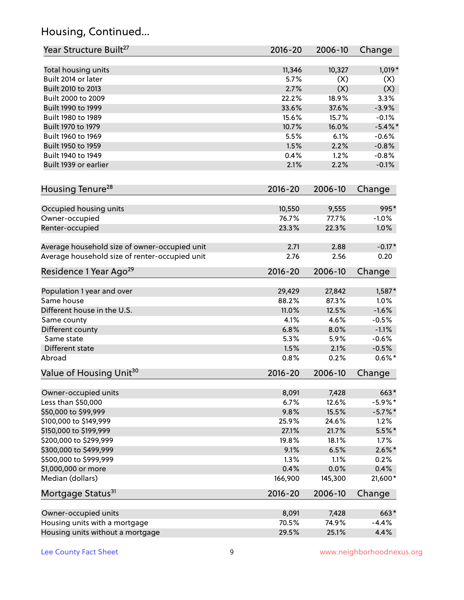# Housing, Continued...

| Year Structure Built <sup>27</sup>             | 2016-20        | 2006-10       | Change             |
|------------------------------------------------|----------------|---------------|--------------------|
|                                                |                |               |                    |
| Total housing units<br>Built 2014 or later     | 11,346<br>5.7% | 10,327<br>(X) | $1,019*$           |
| Built 2010 to 2013                             | 2.7%           | (X)           | (X)<br>(X)         |
| Built 2000 to 2009                             | 22.2%          | 18.9%         | 3.3%               |
| Built 1990 to 1999                             | 33.6%          | 37.6%         | $-3.9%$            |
|                                                | 15.6%          |               |                    |
| Built 1980 to 1989                             |                | 15.7%         | $-0.1%$            |
| Built 1970 to 1979                             | 10.7%<br>5.5%  | 16.0%         | $-5.4\%$ *         |
| Built 1960 to 1969<br>Built 1950 to 1959       | 1.5%           | 6.1%          | $-0.6%$<br>$-0.8%$ |
| Built 1940 to 1949                             | 0.4%           | 2.2%<br>1.2%  | $-0.8%$            |
|                                                |                |               |                    |
| Built 1939 or earlier                          | 2.1%           | 2.2%          | $-0.1%$            |
| Housing Tenure <sup>28</sup>                   | $2016 - 20$    | 2006-10       | Change             |
|                                                |                |               |                    |
| Occupied housing units                         | 10,550         | 9,555         | 995*               |
| Owner-occupied                                 | 76.7%          | 77.7%         | $-1.0%$            |
| Renter-occupied                                | 23.3%          | 22.3%         | 1.0%               |
| Average household size of owner-occupied unit  | 2.71           | 2.88          | $-0.17*$           |
| Average household size of renter-occupied unit | 2.76           | 2.56          | 0.20               |
| Residence 1 Year Ago <sup>29</sup>             | 2016-20        | 2006-10       | Change             |
| Population 1 year and over                     | 29,429         | 27,842        | 1,587*             |
| Same house                                     | 88.2%          | 87.3%         | 1.0%               |
| Different house in the U.S.                    | 11.0%          | 12.5%         | $-1.6%$            |
| Same county                                    | 4.1%           | 4.6%          | $-0.5%$            |
| Different county                               | 6.8%           | 8.0%          | $-1.1%$            |
| Same state                                     | 5.3%           | 5.9%          | $-0.6%$            |
| Different state                                | 1.5%           | 2.1%          | $-0.5%$            |
| Abroad                                         | 0.8%           | 0.2%          | $0.6\%*$           |
| Value of Housing Unit <sup>30</sup>            | 2016-20        | 2006-10       | Change             |
|                                                |                |               |                    |
| Owner-occupied units                           | 8,091          | 7,428         | 663*               |
| Less than \$50,000                             | 6.7%           | 12.6%         | $-5.9\%$ *         |
| \$50,000 to \$99,999                           | 9.8%           | 15.5%         | $-5.7\%$ *         |
| \$100,000 to \$149,999                         | 25.9%          | 24.6%         | 1.2%               |
| \$150,000 to \$199,999                         | 27.1%          | 21.7%         | $5.5%$ *           |
| \$200,000 to \$299,999                         | 19.8%          | 18.1%         | 1.7%               |
| \$300,000 to \$499,999                         | 9.1%           | 6.5%          | $2.6\%$ *          |
| \$500,000 to \$999,999                         | 1.3%           | 1.1%          | 0.2%               |
| \$1,000,000 or more                            | 0.4%           | 0.0%          | 0.4%               |
| Median (dollars)                               | 166,900        | 145,300       | 21,600*            |
| Mortgage Status <sup>31</sup>                  | $2016 - 20$    | 2006-10       | Change             |
| Owner-occupied units                           | 8,091          | 7,428         | 663*               |
| Housing units with a mortgage                  | 70.5%          | 74.9%         | $-4.4%$            |
|                                                |                |               | 4.4%               |
| Housing units without a mortgage               | 29.5%          | 25.1%         |                    |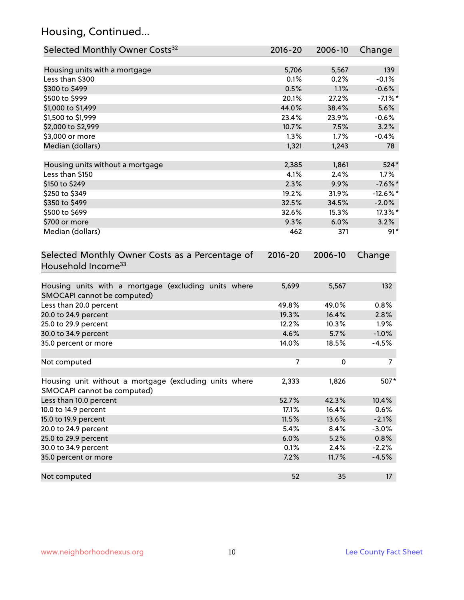# Housing, Continued...

| Selected Monthly Owner Costs <sup>32</sup>                                            | 2016-20     | 2006-10 | Change      |
|---------------------------------------------------------------------------------------|-------------|---------|-------------|
| Housing units with a mortgage                                                         | 5,706       | 5,567   | 139         |
| Less than \$300                                                                       | 0.1%        | 0.2%    | $-0.1%$     |
| \$300 to \$499                                                                        | 0.5%        | 1.1%    | $-0.6%$     |
| \$500 to \$999                                                                        | 20.1%       | 27.2%   | $-7.1\%$ *  |
| \$1,000 to \$1,499                                                                    | 44.0%       | 38.4%   | 5.6%        |
| \$1,500 to \$1,999                                                                    | 23.4%       | 23.9%   | $-0.6%$     |
| \$2,000 to \$2,999                                                                    | 10.7%       | 7.5%    | 3.2%        |
| \$3,000 or more                                                                       | 1.3%        | 1.7%    | $-0.4%$     |
| Median (dollars)                                                                      | 1,321       | 1,243   | 78          |
| Housing units without a mortgage                                                      | 2,385       | 1,861   | 524*        |
| Less than \$150                                                                       | 4.1%        | 2.4%    | 1.7%        |
| \$150 to \$249                                                                        | 2.3%        | 9.9%    | $-7.6\%$ *  |
| \$250 to \$349                                                                        | 19.2%       | 31.9%   | $-12.6\%$ * |
| \$350 to \$499                                                                        | 32.5%       | 34.5%   | $-2.0%$     |
| \$500 to \$699                                                                        | 32.6%       | 15.3%   | 17.3%*      |
| \$700 or more                                                                         | 9.3%        | 6.0%    | 3.2%        |
| Median (dollars)                                                                      | 462         | 371     | $91*$       |
| Selected Monthly Owner Costs as a Percentage of<br>Household Income <sup>33</sup>     | $2016 - 20$ | 2006-10 | Change      |
| Housing units with a mortgage (excluding units where<br>SMOCAPI cannot be computed)   | 5,699       | 5,567   | 132         |
| Less than 20.0 percent                                                                | 49.8%       | 49.0%   | 0.8%        |
| 20.0 to 24.9 percent                                                                  | 19.3%       | 16.4%   | 2.8%        |
| 25.0 to 29.9 percent                                                                  | 12.2%       | 10.3%   | 1.9%        |
| 30.0 to 34.9 percent                                                                  | 4.6%        | 5.7%    | $-1.0%$     |
| 35.0 percent or more                                                                  | 14.0%       | 18.5%   | $-4.5%$     |
| Not computed                                                                          | 7           | 0       | 7           |
| Housing unit without a mortgage (excluding units where<br>SMOCAPI cannot be computed) | 2,333       | 1,826   | 507*        |
| Less than 10.0 percent                                                                | 52.7%       | 42.3%   | 10.4%       |
| 10.0 to 14.9 percent                                                                  | 17.1%       | 16.4%   | 0.6%        |
| 15.0 to 19.9 percent                                                                  | 11.5%       | 13.6%   | $-2.1%$     |
| 20.0 to 24.9 percent                                                                  | 5.4%        | 8.4%    | $-3.0%$     |
| 25.0 to 29.9 percent                                                                  | 6.0%        | 5.2%    | 0.8%        |
| 30.0 to 34.9 percent                                                                  | 0.1%        | 2.4%    | $-2.2%$     |
| 35.0 percent or more                                                                  | 7.2%        | 11.7%   | $-4.5%$     |
| Not computed                                                                          | 52          | 35      | 17          |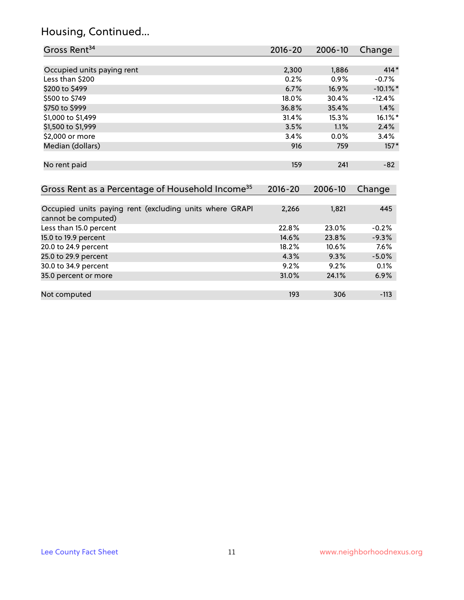# Housing, Continued...

| Gross Rent <sup>34</sup>                                                       | 2016-20     | 2006-10 | Change      |
|--------------------------------------------------------------------------------|-------------|---------|-------------|
|                                                                                |             |         |             |
| Occupied units paying rent                                                     | 2,300       | 1,886   | $414*$      |
| Less than \$200                                                                | 0.2%        | 0.9%    | $-0.7%$     |
| \$200 to \$499                                                                 | 6.7%        | 16.9%   | $-10.1\%$ * |
| \$500 to \$749                                                                 | 18.0%       | 30.4%   | $-12.4%$    |
| \$750 to \$999                                                                 | 36.8%       | 35.4%   | 1.4%        |
| \$1,000 to \$1,499                                                             | 31.4%       | 15.3%   | 16.1%*      |
| \$1,500 to \$1,999                                                             | 3.5%        | 1.1%    | 2.4%        |
| \$2,000 or more                                                                | 3.4%        | 0.0%    | 3.4%        |
| Median (dollars)                                                               | 916         | 759     | $157*$      |
| No rent paid                                                                   | 159         | 241     | $-82$       |
| Gross Rent as a Percentage of Household Income <sup>35</sup>                   | $2016 - 20$ | 2006-10 | Change      |
|                                                                                |             |         |             |
| Occupied units paying rent (excluding units where GRAPI<br>cannot be computed) | 2,266       | 1,821   | 445         |
| Less than 15.0 percent                                                         | 22.8%       | 23.0%   | $-0.2%$     |
| 15.0 to 19.9 percent                                                           | 14.6%       | 23.8%   | $-9.3%$     |
| 20.0 to 24.9 percent                                                           | 18.2%       | 10.6%   | 7.6%        |
| 25.0 to 29.9 percent                                                           | 4.3%        | 9.3%    | $-5.0%$     |
| 30.0 to 34.9 percent                                                           | 9.2%        | 9.2%    | 0.1%        |
| 35.0 percent or more                                                           | 31.0%       | 24.1%   | 6.9%        |
| Not computed                                                                   | 193         | 306     | $-113$      |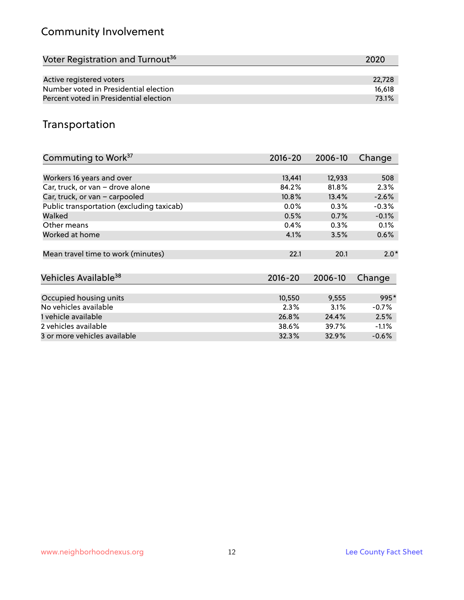# Community Involvement

| Voter Registration and Turnout <sup>36</sup> | 2020   |
|----------------------------------------------|--------|
|                                              |        |
| Active registered voters                     | 22.728 |
| Number voted in Presidential election        | 16.618 |
| Percent voted in Presidential election       | 73.1%  |

### Transportation

| Commuting to Work <sup>37</sup>           | 2016-20     | 2006-10 | Change  |
|-------------------------------------------|-------------|---------|---------|
|                                           |             |         |         |
| Workers 16 years and over                 | 13,441      | 12,933  | 508     |
| Car, truck, or van - drove alone          | 84.2%       | 81.8%   | 2.3%    |
| Car, truck, or van - carpooled            | 10.8%       | 13.4%   | $-2.6%$ |
| Public transportation (excluding taxicab) | 0.0%        | $0.3\%$ | $-0.3%$ |
| Walked                                    | 0.5%        | 0.7%    | $-0.1%$ |
| Other means                               | 0.4%        | 0.3%    | 0.1%    |
| Worked at home                            | 4.1%        | 3.5%    | 0.6%    |
|                                           |             |         |         |
| Mean travel time to work (minutes)        | 22.1        | 20.1    | $2.0*$  |
|                                           |             |         |         |
| Vehicles Available <sup>38</sup>          | $2016 - 20$ | 2006-10 | Change  |
|                                           |             |         |         |
| Occupied housing units                    | 10,550      | 9,555   | 995*    |
| No vehicles available                     | 2.3%        | 3.1%    | $-0.7%$ |
| 1 vehicle available                       | 26.8%       | 24.4%   | 2.5%    |
| 2 vehicles available                      | 38.6%       | 39.7%   | $-1.1%$ |
| 3 or more vehicles available              | 32.3%       | 32.9%   | $-0.6%$ |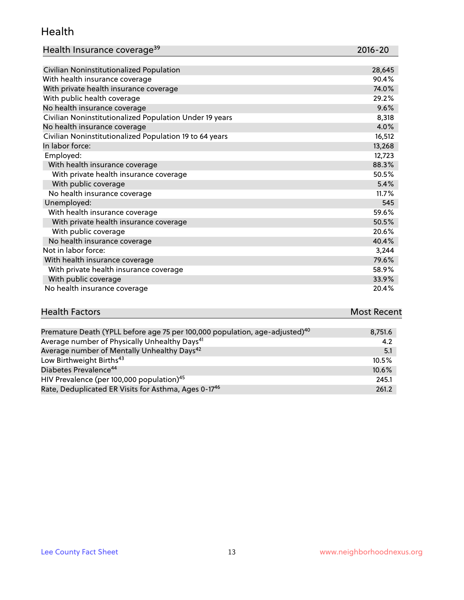#### Health

| Health Insurance coverage <sup>39</sup> | 2016-20 |
|-----------------------------------------|---------|
|-----------------------------------------|---------|

| Civilian Noninstitutionalized Population                | 28,645 |
|---------------------------------------------------------|--------|
| With health insurance coverage                          | 90.4%  |
| With private health insurance coverage                  | 74.0%  |
| With public health coverage                             | 29.2%  |
| No health insurance coverage                            | 9.6%   |
| Civilian Noninstitutionalized Population Under 19 years | 8,318  |
| No health insurance coverage                            | 4.0%   |
| Civilian Noninstitutionalized Population 19 to 64 years | 16,512 |
| In labor force:                                         | 13,268 |
| Employed:                                               | 12,723 |
| With health insurance coverage                          | 88.3%  |
| With private health insurance coverage                  | 50.5%  |
| With public coverage                                    | 5.4%   |
| No health insurance coverage                            | 11.7%  |
| Unemployed:                                             | 545    |
| With health insurance coverage                          | 59.6%  |
| With private health insurance coverage                  | 50.5%  |
| With public coverage                                    | 20.6%  |
| No health insurance coverage                            | 40.4%  |
| Not in labor force:                                     | 3,244  |
| With health insurance coverage                          | 79.6%  |
| With private health insurance coverage                  | 58.9%  |
| With public coverage                                    | 33.9%  |
| No health insurance coverage                            | 20.4%  |

# **Health Factors Most Recent** And The Control of the Control of The Control of The Control of The Control of The Control of The Control of The Control of The Control of The Control of The Control of The Control of The Contr

| Premature Death (YPLL before age 75 per 100,000 population, age-adjusted) <sup>40</sup> | 8,751.6  |
|-----------------------------------------------------------------------------------------|----------|
| Average number of Physically Unhealthy Days <sup>41</sup>                               | 4.2      |
| Average number of Mentally Unhealthy Days <sup>42</sup>                                 | 5.1      |
| Low Birthweight Births <sup>43</sup>                                                    | $10.5\%$ |
| Diabetes Prevalence <sup>44</sup>                                                       | 10.6%    |
| HIV Prevalence (per 100,000 population) <sup>45</sup>                                   | 245.1    |
| Rate, Deduplicated ER Visits for Asthma, Ages 0-17 <sup>46</sup>                        | 261.2    |